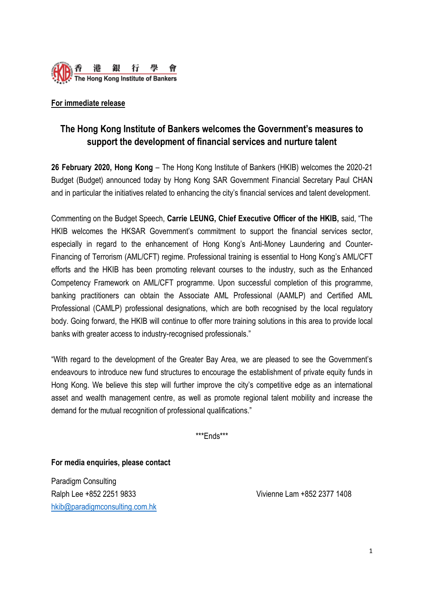

## **For immediate release**

## **The Hong Kong Institute of Bankers welcomes the Government's measures to support the development of financial services and nurture talent**

**26 February 2020, Hong Kong** – The Hong Kong Institute of Bankers (HKIB) welcomes the 2020-21 Budget (Budget) announced today by Hong Kong SAR Government Financial Secretary Paul CHAN and in particular the initiatives related to enhancing the city's financial services and talent development.

Commenting on the Budget Speech, **Carrie LEUNG, Chief Executive Officer of the HKIB,** said, "The HKIB welcomes the HKSAR Government's commitment to support the financial services sector, especially in regard to the enhancement of Hong Kong's Anti-Money Laundering and Counter-Financing of Terrorism (AML/CFT) regime. Professional training is essential to Hong Kong's AML/CFT efforts and the HKIB has been promoting relevant courses to the industry, such as the Enhanced Competency Framework on AML/CFT programme. Upon successful completion of this programme, banking practitioners can obtain the Associate AML Professional (AAMLP) and Certified AML Professional (CAMLP) professional designations, which are both recognised by the local regulatory body. Going forward, the HKIB will continue to offer more training solutions in this area to provide local banks with greater access to industry-recognised professionals."

"With regard to the development of the Greater Bay Area, we are pleased to see the Government's endeavours to introduce new fund structures to encourage the establishment of private equity funds in Hong Kong. We believe this step will further improve the city's competitive edge as an international asset and wealth management centre, as well as promote regional talent mobility and increase the demand for the mutual recognition of professional qualifications."

\*\*\*Ends\*\*\*

**For media enquiries, please contact**

Paradigm Consulting Ralph Lee +852 2251 9833 Vivienne Lam +852 2377 1408 [hkib@paradigmconsulting.com.hk](mailto:hkib@paradigmconsulting.com.hk)